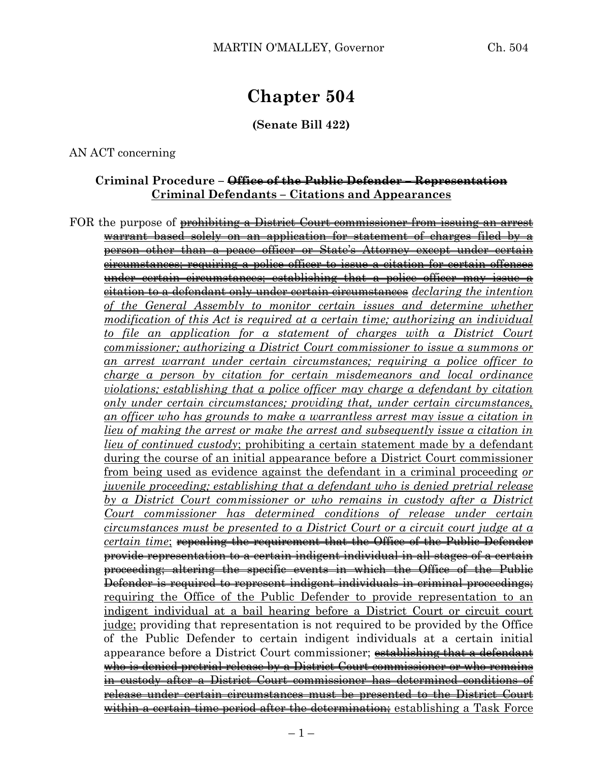# **Chapter 504**

**(Senate Bill 422)**

AN ACT concerning

#### **Criminal Procedure – Office of the Public Defender – Representation Criminal Defendants – Citations and Appearances**

FOR the purpose of prohibiting a District Court commissioner from issuing an arrest warrant based solely on an application for statement of charges filed by person other than a peace officer or State's Attorney except under certain circumstances; requiring a police officer to issue a citation for certain offenses under certain circumstances; establishing that a police officer may issue a citation to a defendant only under certain circumstances *declaring the intention of the General Assembly to monitor certain issues and determine whether modification of this Act is required at a certain time; authorizing an individual to file an application for a statement of charges with a District Court commissioner; authorizing a District Court commissioner to issue a summons or an arrest warrant under certain circumstances; requiring a police officer to charge a person by citation for certain misdemeanors and local ordinance violations; establishing that a police officer may charge a defendant by citation only under certain circumstances; providing that, under certain circumstances, an officer who has grounds to make a warrantless arrest may issue a citation in lieu of making the arrest or make the arrest and subsequently issue a citation in lieu of continued custody*; prohibiting a certain statement made by a defendant during the course of an initial appearance before a District Court commissioner from being used as evidence against the defendant in a criminal proceeding *or juvenile proceeding; establishing that a defendant who is denied pretrial release by a District Court commissioner or who remains in custody after a District Court commissioner has determined conditions of release under certain circumstances must be presented to a District Court or a circuit court judge at a certain time*; repealing the requirement that the Office of the Public Defender provide representation to a certain indigent individual in all stages of a certain proceeding; altering the specific events in which the Office of the Public Defender is required to represent indigent individuals in criminal proceedings; requiring the Office of the Public Defender to provide representation to an indigent individual at a bail hearing before a District Court or circuit court judge; providing that representation is not required to be provided by the Office of the Public Defender to certain indigent individuals at a certain initial appearance before a District Court commissioner; establishing that a defendant who is denied pretrial release by a District Court commissioner or who remains in custody after a District Court commissioner has determined conditions of release under certain circumstances must be presented to the District Court within a certain time period after the determination; establishing a Task Force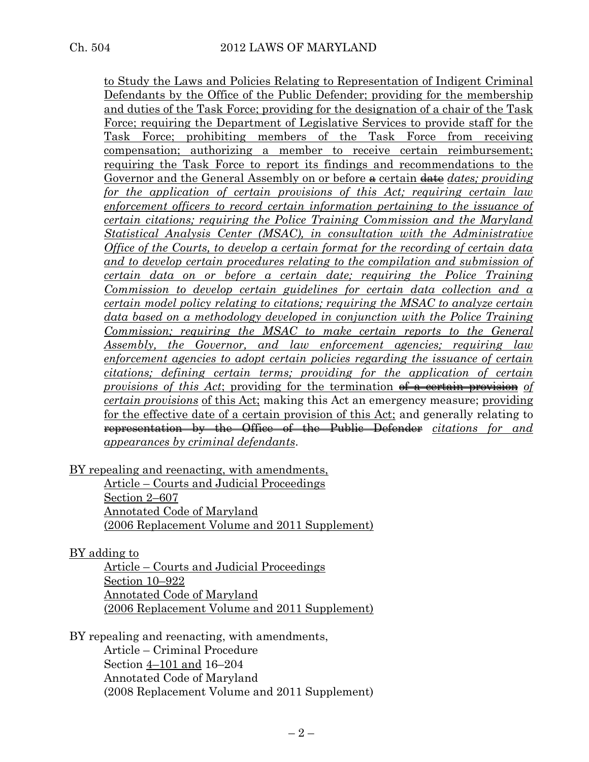to Study the Laws and Policies Relating to Representation of Indigent Criminal Defendants by the Office of the Public Defender; providing for the membership and duties of the Task Force; providing for the designation of a chair of the Task Force; requiring the Department of Legislative Services to provide staff for the Task Force; prohibiting members of the Task Force from receiving compensation; authorizing a member to receive certain reimbursement; requiring the Task Force to report its findings and recommendations to the Governor and the General Assembly on or before  $\triangle$  certain  $\triangle$  *dates; providing for the application of certain provisions of this Act; requiring certain law enforcement officers to record certain information pertaining to the issuance of certain citations; requiring the Police Training Commission and the Maryland Statistical Analysis Center (MSAC), in consultation with the Administrative Office of the Courts, to develop a certain format for the recording of certain data and to develop certain procedures relating to the compilation and submission of certain data on or before a certain date; requiring the Police Training Commission to develop certain guidelines for certain data collection and a certain model policy relating to citations; requiring the MSAC to analyze certain data based on a methodology developed in conjunction with the Police Training Commission; requiring the MSAC to make certain reports to the General Assembly, the Governor, and law enforcement agencies; requiring law enforcement agencies to adopt certain policies regarding the issuance of certain citations; defining certain terms; providing for the application of certain provisions of this Act*; providing for the termination of a certain provision *of certain provisions* of this Act; making this Act an emergency measure; providing for the effective date of a certain provision of this Act; and generally relating to representation by the Office of the Public Defender *citations for and appearances by criminal defendants*.

BY repealing and reenacting, with amendments,

Article – Courts and Judicial Proceedings Section 2–607 Annotated Code of Maryland (2006 Replacement Volume and 2011 Supplement)

BY adding to

Article – Courts and Judicial Proceedings Section 10–922 Annotated Code of Maryland (2006 Replacement Volume and 2011 Supplement)

BY repealing and reenacting, with amendments, Article – Criminal Procedure Section 4–101 and 16–204 Annotated Code of Maryland (2008 Replacement Volume and 2011 Supplement)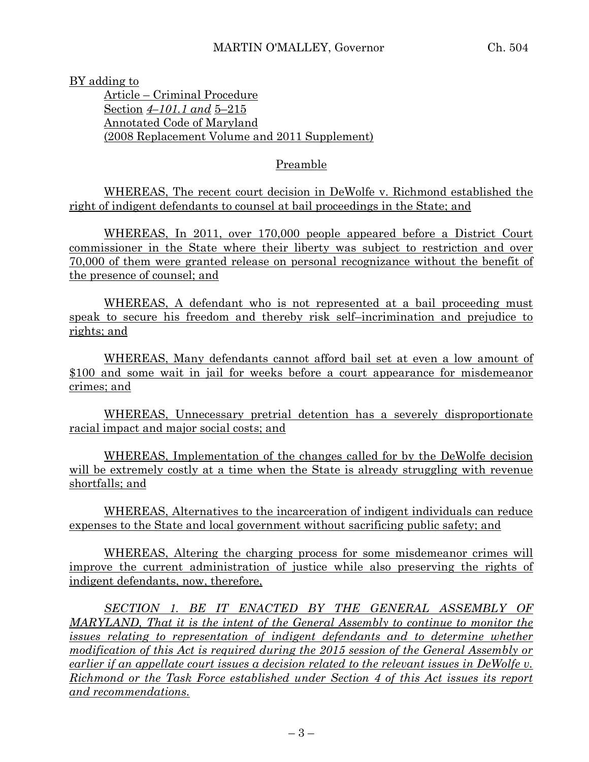BY adding to

Article – Criminal Procedure Section *4–101.1 and* 5–215 Annotated Code of Maryland (2008 Replacement Volume and 2011 Supplement)

## Preamble

WHEREAS, The recent court decision in DeWolfe v. Richmond established the right of indigent defendants to counsel at bail proceedings in the State; and

WHEREAS, In 2011, over 170,000 people appeared before a District Court commissioner in the State where their liberty was subject to restriction and over 70,000 of them were granted release on personal recognizance without the benefit of the presence of counsel; and

WHEREAS, A defendant who is not represented at a bail proceeding must speak to secure his freedom and thereby risk self–incrimination and prejudice to rights; and

WHEREAS, Many defendants cannot afford bail set at even a low amount of \$100 and some wait in jail for weeks before a court appearance for misdemeanor crimes; and

WHEREAS, Unnecessary pretrial detention has a severely disproportionate racial impact and major social costs; and

WHEREAS, Implementation of the changes called for by the DeWolfe decision will be extremely costly at a time when the State is already struggling with revenue shortfalls; and

WHEREAS, Alternatives to the incarceration of indigent individuals can reduce expenses to the State and local government without sacrificing public safety; and

WHEREAS, Altering the charging process for some misdemeanor crimes will improve the current administration of justice while also preserving the rights of indigent defendants, now, therefore,

*SECTION 1. BE IT ENACTED BY THE GENERAL ASSEMBLY OF MARYLAND, That it is the intent of the General Assembly to continue to monitor the issues relating to representation of indigent defendants and to determine whether modification of this Act is required during the 2015 session of the General Assembly or earlier if an appellate court issues a decision related to the relevant issues in DeWolfe v. Richmond or the Task Force established under Section 4 of this Act issues its report and recommendations.*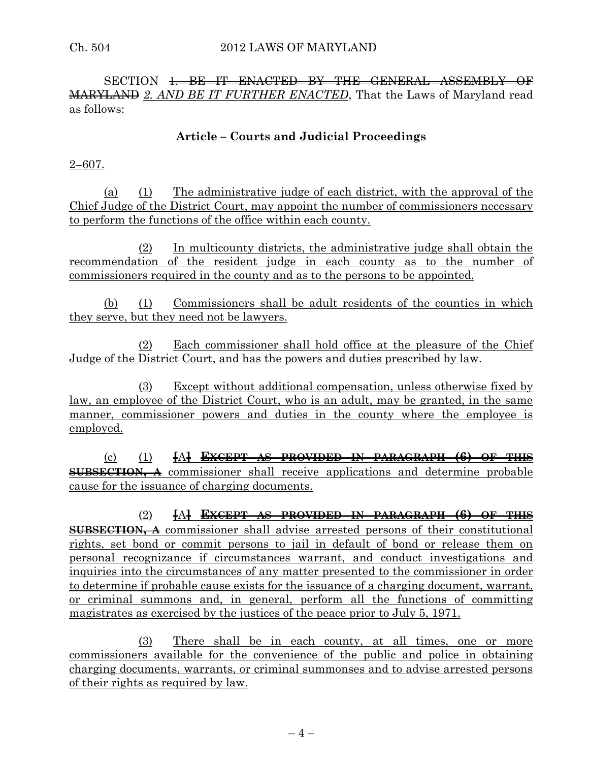SECTION <del>1 BE IT ENACTED BY THE GENERAL ASSEMBLY OF</del> MARYLAND *2. AND BE IT FURTHER ENACTED*, That the Laws of Maryland read as follows:

# **Article – Courts and Judicial Proceedings**

2–607.

(a) (1) The administrative judge of each district, with the approval of the Chief Judge of the District Court, may appoint the number of commissioners necessary to perform the functions of the office within each county.

(2) In multicounty districts, the administrative judge shall obtain the recommendation of the resident judge in each county as to the number of commissioners required in the county and as to the persons to be appointed.

(b) (1) Commissioners shall be adult residents of the counties in which they serve, but they need not be lawyers.

(2) Each commissioner shall hold office at the pleasure of the Chief Judge of the District Court, and has the powers and duties prescribed by law.

(3) Except without additional compensation, unless otherwise fixed by law, an employee of the District Court, who is an adult, may be granted, in the same manner, commissioner powers and duties in the county where the employee is employed.

(c) (1) **[**A**] EXCEPT AS PROVIDED IN PARAGRAPH (6) OF THIS SUBSECTION, A** commissioner shall receive applications and determine probable cause for the issuance of charging documents.

(2) **[**A**] EXCEPT AS PROVIDED IN PARAGRAPH (6) OF THIS SUBSECTION, A** commissioner shall advise arrested persons of their constitutional rights, set bond or commit persons to jail in default of bond or release them on personal recognizance if circumstances warrant, and conduct investigations and inquiries into the circumstances of any matter presented to the commissioner in order to determine if probable cause exists for the issuance of a charging document, warrant, or criminal summons and, in general, perform all the functions of committing magistrates as exercised by the justices of the peace prior to July 5, 1971.

(3) There shall be in each county, at all times, one or more commissioners available for the convenience of the public and police in obtaining charging documents, warrants, or criminal summonses and to advise arrested persons of their rights as required by law.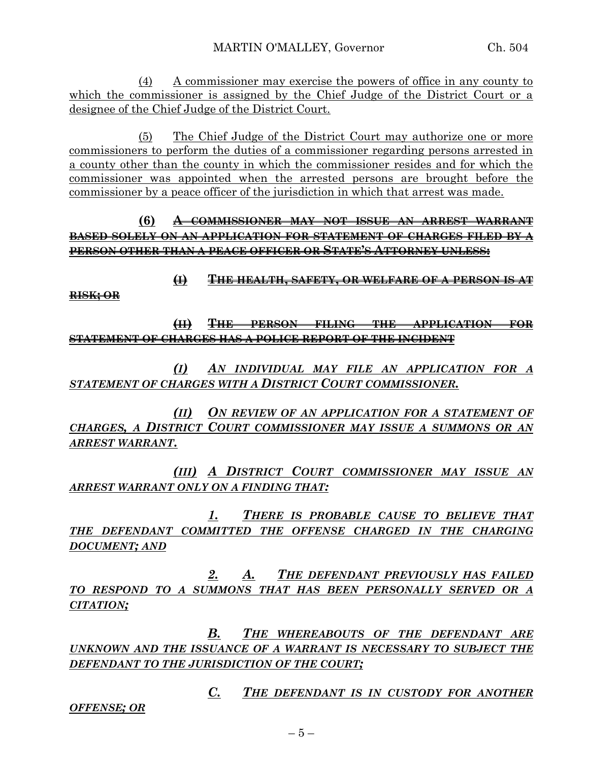(4) A commissioner may exercise the powers of office in any county to which the commissioner is assigned by the Chief Judge of the District Court or a designee of the Chief Judge of the District Court.

(5) The Chief Judge of the District Court may authorize one or more commissioners to perform the duties of a commissioner regarding persons arrested in a county other than the county in which the commissioner resides and for which the commissioner was appointed when the arrested persons are brought before the commissioner by a peace officer of the jurisdiction in which that arrest was made.

**(6) A COMMISSIONER MAY NOT ISSUE AN ARREST WARRANT BASED SOLELY ON AN APPLICATION FOR STATEMENT OF CHARGES FILED BY A PERSON OTHER THAN A PEACE OFFICER OR STATE'S ATTORNEY UNLESS:**

**(I) THE HEALTH, SAFETY, OR WELFARE OF A PERSON IS AT** 

**RISK; OR**

**(II) THE PERSON FILING THE APPLICATION FOR STATEMENT OF CHARGES HAS A POLICE REPORT OF THE INCIDENT**

*(I) AN INDIVIDUAL MAY FILE AN APPLICATION FOR A STATEMENT OF CHARGES WITH A DISTRICT COURT COMMISSIONER.*

*(II) ON REVIEW OF AN APPLICATION FOR A STATEMENT OF CHARGES, A DISTRICT COURT COMMISSIONER MAY ISSUE A SUMMONS OR AN ARREST WARRANT.*

*(III) A DISTRICT COURT COMMISSIONER MAY ISSUE AN ARREST WARRANT ONLY ON A FINDING THAT:*

*1. THERE IS PROBABLE CAUSE TO BELIEVE THAT THE DEFENDANT COMMITTED THE OFFENSE CHARGED IN THE CHARGING DOCUMENT; AND*

*2. A. THE DEFENDANT PREVIOUSLY HAS FAILED TO RESPOND TO A SUMMONS THAT HAS BEEN PERSONALLY SERVED OR A CITATION;*

*B. THE WHEREABOUTS OF THE DEFENDANT ARE UNKNOWN AND THE ISSUANCE OF A WARRANT IS NECESSARY TO SUBJECT THE DEFENDANT TO THE JURISDICTION OF THE COURT;*

*C. THE DEFENDANT IS IN CUSTODY FOR ANOTHER* 

*OFFENSE; OR*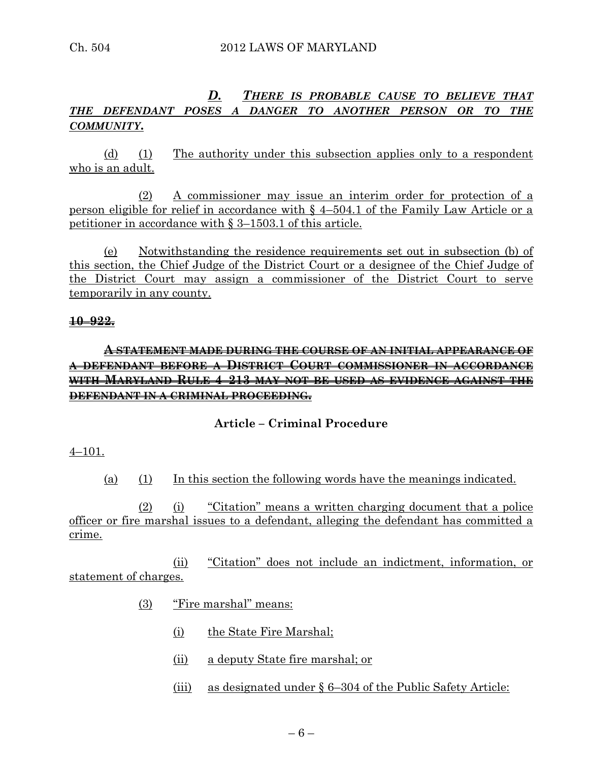# *D. THERE IS PROBABLE CAUSE TO BELIEVE THAT THE DEFENDANT POSES A DANGER TO ANOTHER PERSON OR TO THE COMMUNITY***.**

(d) (1) The authority under this subsection applies only to a respondent who is an adult.

(2) A commissioner may issue an interim order for protection of a person eligible for relief in accordance with § 4–504.1 of the Family Law Article or a petitioner in accordance with § 3–1503.1 of this article.

(e) Notwithstanding the residence requirements set out in subsection (b) of this section, the Chief Judge of the District Court or a designee of the Chief Judge of the District Court may assign a commissioner of the District Court to serve temporarily in any county.

#### **10–922.**

# **A STATEMENT MADE DURING THE COURSE OF AN INITIAL APPEARANCE OF A DEFENDANT BEFORE A DISTRICT COURT COMMISSIONER IN ACCORDANCE WITH MARYLAND RULE 4–213 MAY NOT BE USED AS EVIDENCE AGAINST THE DEFENDANT IN A CRIMINAL PROCEEDING.**

#### **Article – Criminal Procedure**

#### 4–101.

(a) (1) In this section the following words have the meanings indicated.

(2) (i) "Citation" means a written charging document that a police officer or fire marshal issues to a defendant, alleging the defendant has committed a crime.

(ii) "Citation" does not include an indictment, information, or statement of charges.

- (3) "Fire marshal" means:
	- (i) the State Fire Marshal;
	- (ii) a deputy State fire marshal; or
	- (iii) as designated under § 6–304 of the Public Safety Article: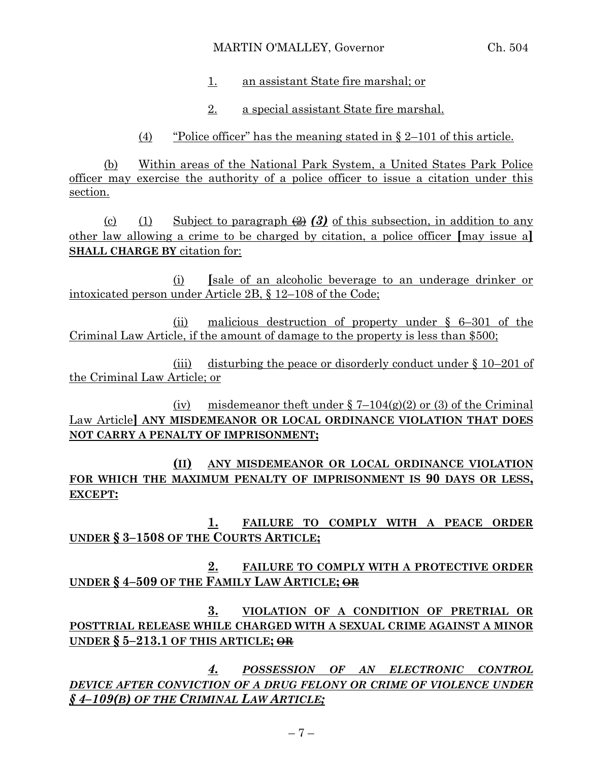#### MARTIN O'MALLEY, Governor Ch. 504

- 1. an assistant State fire marshal; or
- 2. a special assistant State fire marshal.

(4) "Police officer" has the meaning stated in  $\S 2-101$  of this article.

(b) Within areas of the National Park System, a United States Park Police officer may exercise the authority of a police officer to issue a citation under this section.

(c) (1) Subject to paragraph  $(2)$   $(3)$  of this subsection, in addition to any other law allowing a crime to be charged by citation, a police officer **[**may issue a**] SHALL CHARGE BY** citation for:

(i) **[**sale of an alcoholic beverage to an underage drinker or intoxicated person under Article 2B, § 12–108 of the Code;

(ii) malicious destruction of property under § 6–301 of the Criminal Law Article, if the amount of damage to the property is less than \$500;

(iii) disturbing the peace or disorderly conduct under § 10–201 of the Criminal Law Article; or

(iv) misdemeanor theft under  $\S$  7–104(g)(2) or (3) of the Criminal Law Article**] ANY MISDEMEANOR OR LOCAL ORDINANCE VIOLATION THAT DOES NOT CARRY A PENALTY OF IMPRISONMENT;**

**(II) ANY MISDEMEANOR OR LOCAL ORDINANCE VIOLATION FOR WHICH THE MAXIMUM PENALTY OF IMPRISONMENT IS 90 DAYS OR LESS, EXCEPT:**

**1. FAILURE TO COMPLY WITH A PEACE ORDER UNDER § 3–1508 OF THE COURTS ARTICLE;**

**2. FAILURE TO COMPLY WITH A PROTECTIVE ORDER UNDER § 4–509 OF THE FAMILY LAW ARTICLE; OR**

**3. VIOLATION OF A CONDITION OF PRETRIAL OR POSTTRIAL RELEASE WHILE CHARGED WITH A SEXUAL CRIME AGAINST A MINOR UNDER § 5–213.1 OF THIS ARTICLE; OR**

*4. POSSESSION OF AN ELECTRONIC CONTROL DEVICE AFTER CONVICTION OF A DRUG FELONY OR CRIME OF VIOLENCE UNDER § 4–109(B) OF THE CRIMINAL LAW ARTICLE;*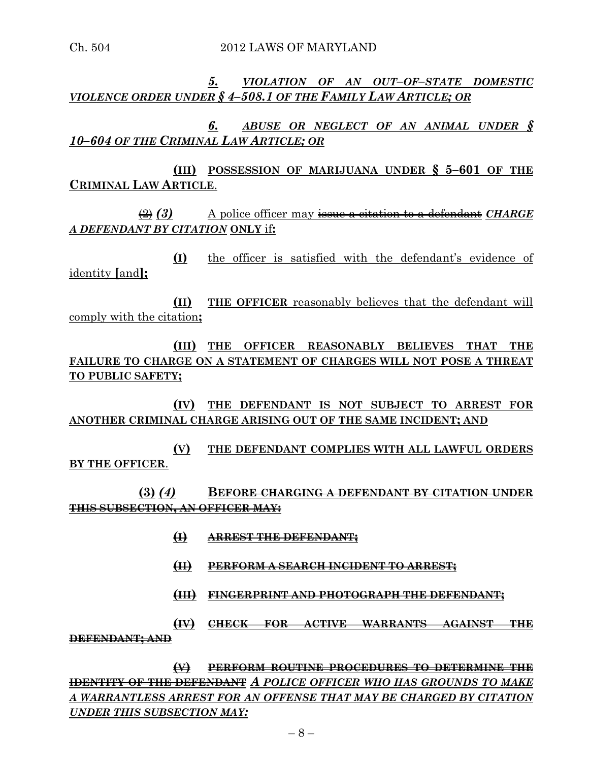Ch. 504 2012 LAWS OF MARYLAND

*5. VIOLATION OF AN OUT–OF–STATE DOMESTIC VIOLENCE ORDER UNDER § 4–508.1 OF THE FAMILY LAW ARTICLE; OR*

*6. ABUSE OR NEGLECT OF AN ANIMAL UNDER § 10–604 OF THE CRIMINAL LAW ARTICLE; OR*

**(III) POSSESSION OF MARIJUANA UNDER § 5–601 OF THE CRIMINAL LAW ARTICLE**.

(2) *(3)* A police officer may issue a citation to a defendant *CHARGE A DEFENDANT BY CITATION* **ONLY** if**:**

**(I)** the officer is satisfied with the defendant's evidence of identity **[**and**];**

**(II) THE OFFICER** reasonably believes that the defendant will comply with the citation**;**

**(III) THE OFFICER REASONABLY BELIEVES THAT THE FAILURE TO CHARGE ON A STATEMENT OF CHARGES WILL NOT POSE A THREAT TO PUBLIC SAFETY;**

**(IV) THE DEFENDANT IS NOT SUBJECT TO ARREST FOR ANOTHER CRIMINAL CHARGE ARISING OUT OF THE SAME INCIDENT; AND** 

**(V) THE DEFENDANT COMPLIES WITH ALL LAWFUL ORDERS BY THE OFFICER**.

**(3)** *(4)* **BEFORE CHARGING A DEFENDANT BY CITATION UNDER THIS SUBSECTION, AN OFFICER MAY:**

- **(I) ARREST THE DEFENDANT;**
- **(II) PERFORM A SEARCH INCIDENT TO ARREST;**
- **(III) FINGERPRINT AND PHOTOGRAPH THE DEFENDANT;**

# **(IV) CHECK FOR ACTIVE WARRANTS AGAINST THE DEFENDANT; AND**

**(V) PERFORM ROUTINE PROCEDURES TO DETERMINE THE IDENTITY OF THE DEFENDANT** *A POLICE OFFICER WHO HAS GROUNDS TO MAKE A WARRANTLESS ARREST FOR AN OFFENSE THAT MAY BE CHARGED BY CITATION UNDER THIS SUBSECTION MAY:*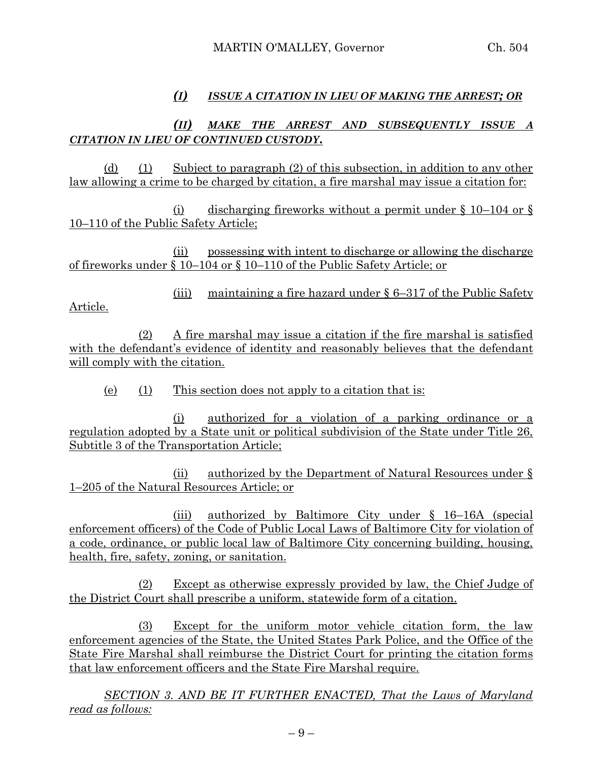# *(I) ISSUE A CITATION IN LIEU OF MAKING THE ARREST; OR*

# *(II) MAKE THE ARREST AND SUBSEQUENTLY ISSUE A CITATION IN LIEU OF CONTINUED CUSTODY***.**

(d) (1) Subject to paragraph (2) of this subsection, in addition to any other law allowing a crime to be charged by citation, a fire marshal may issue a citation for:

(i) discharging fireworks without a permit under  $\S$  10–104 or  $\S$ 10–110 of the Public Safety Article;

(ii) possessing with intent to discharge or allowing the discharge of fireworks under § 10–104 or § 10–110 of the Public Safety Article; or

(iii) maintaining a fire hazard under  $\S 6-317$  of the Public Safety Article.

(2) A fire marshal may issue a citation if the fire marshal is satisfied with the defendant's evidence of identity and reasonably believes that the defendant will comply with the citation.

(e) (1) This section does not apply to a citation that is:

(i) authorized for a violation of a parking ordinance or a regulation adopted by a State unit or political subdivision of the State under Title 26, Subtitle 3 of the Transportation Article;

(ii) authorized by the Department of Natural Resources under § 1–205 of the Natural Resources Article; or

(iii) authorized by Baltimore City under § 16–16A (special enforcement officers) of the Code of Public Local Laws of Baltimore City for violation of a code, ordinance, or public local law of Baltimore City concerning building, housing, health, fire, safety, zoning, or sanitation.

(2) Except as otherwise expressly provided by law, the Chief Judge of the District Court shall prescribe a uniform, statewide form of a citation.

(3) Except for the uniform motor vehicle citation form, the law enforcement agencies of the State, the United States Park Police, and the Office of the State Fire Marshal shall reimburse the District Court for printing the citation forms that law enforcement officers and the State Fire Marshal require.

*SECTION 3. AND BE IT FURTHER ENACTED, That the Laws of Maryland read as follows:*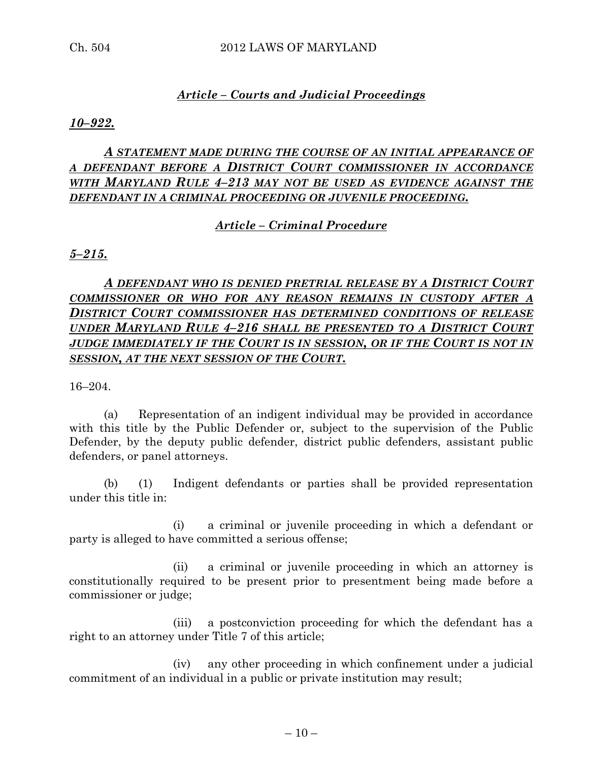# *Article – Courts and Judicial Proceedings*

*10–922.*

# *A STATEMENT MADE DURING THE COURSE OF AN INITIAL APPEARANCE OF A DEFENDANT BEFORE A DISTRICT COURT COMMISSIONER IN ACCORDANCE WITH MARYLAND RULE 4–213 MAY NOT BE USED AS EVIDENCE AGAINST THE DEFENDANT IN A CRIMINAL PROCEEDING OR JUVENILE PROCEEDING.*

# *Article – Criminal Procedure*

*5–215.*

*A DEFENDANT WHO IS DENIED PRETRIAL RELEASE BY A DISTRICT COURT COMMISSIONER OR WHO FOR ANY REASON REMAINS IN CUSTODY AFTER A DISTRICT COURT COMMISSIONER HAS DETERMINED CONDITIONS OF RELEASE UNDER MARYLAND RULE 4–216 SHALL BE PRESENTED TO A DISTRICT COURT JUDGE IMMEDIATELY IF THE COURT IS IN SESSION, OR IF THE COURT IS NOT IN SESSION, AT THE NEXT SESSION OF THE COURT.*

16–204.

(a) Representation of an indigent individual may be provided in accordance with this title by the Public Defender or, subject to the supervision of the Public Defender, by the deputy public defender, district public defenders, assistant public defenders, or panel attorneys.

(b) (1) Indigent defendants or parties shall be provided representation under this title in:

(i) a criminal or juvenile proceeding in which a defendant or party is alleged to have committed a serious offense;

(ii) a criminal or juvenile proceeding in which an attorney is constitutionally required to be present prior to presentment being made before a commissioner or judge;

(iii) a postconviction proceeding for which the defendant has a right to an attorney under Title 7 of this article;

(iv) any other proceeding in which confinement under a judicial commitment of an individual in a public or private institution may result;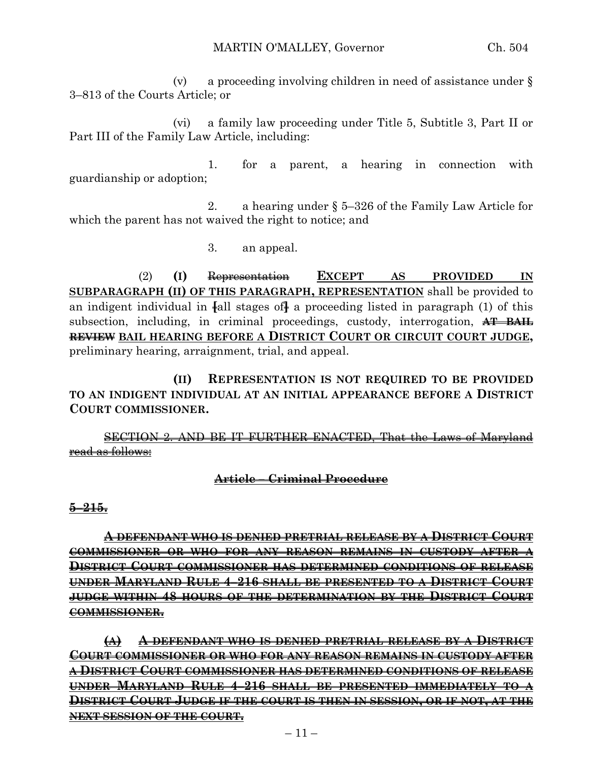(v) a proceeding involving children in need of assistance under § 3–813 of the Courts Article; or

(vi) a family law proceeding under Title 5, Subtitle 3, Part II or Part III of the Family Law Article, including:

1. for a parent, a hearing in connection with guardianship or adoption;

2. a hearing under § 5–326 of the Family Law Article for which the parent has not waived the right to notice; and

3. an appeal.

(2) **(I)** Representation **EXCEPT AS PROVIDED IN SUBPARAGRAPH (II) OF THIS PARAGRAPH, REPRESENTATION** shall be provided to an indigent individual in **[**all stages of**]** a proceeding listed in paragraph (1) of this subsection, including, in criminal proceedings, custody, interrogation, **AT BAIL REVIEW BAIL HEARING BEFORE A DISTRICT COURT OR CIRCUIT COURT JUDGE,** preliminary hearing, arraignment, trial, and appeal.

**(II) REPRESENTATION IS NOT REQUIRED TO BE PROVIDED TO AN INDIGENT INDIVIDUAL AT AN INITIAL APPEARANCE BEFORE A DISTRICT COURT COMMISSIONER.**

SECTION 2. AND BE IT FURTHER ENACTED, That the Laws of Maryland read as follows:

#### **Article – Criminal Procedure**

**5–215.**

**A DEFENDANT WHO IS DENIED PRETRIAL RELEASE BY A DISTRICT COURT COMMISSIONER OR WHO FOR ANY REASON REMAINS IN CUSTODY AFTER A DISTRICT COURT COMMISSIONER HAS DETERMINED CONDITIONS OF RELEASE UNDER MARYLAND RULE 4–216 SHALL BE PRESENTED TO A DISTRICT COURT JUDGE WITHIN 48 HOURS OF THE DETERMINATION BY THE DISTRICT COURT COMMISSIONER.**

**(A) A DEFENDANT WHO IS DENIED PRETRIAL RELEASE BY A DISTRICT COURT COMMISSIONER OR WHO FOR ANY REASON REMAINS IN CUSTODY AFTER A DISTRICT COURT COMMISSIONER HAS DETERMINED CONDITIONS OF RELEASE UNDER MARYLAND RULE 4–216 SHALL BE PRESENTED IMMEDIATELY TO A DISTRICT COURT JUDGE IF THE COURT IS THEN IN SESSION, OR IF NOT, AT THE NEXT SESSION OF THE COURT.**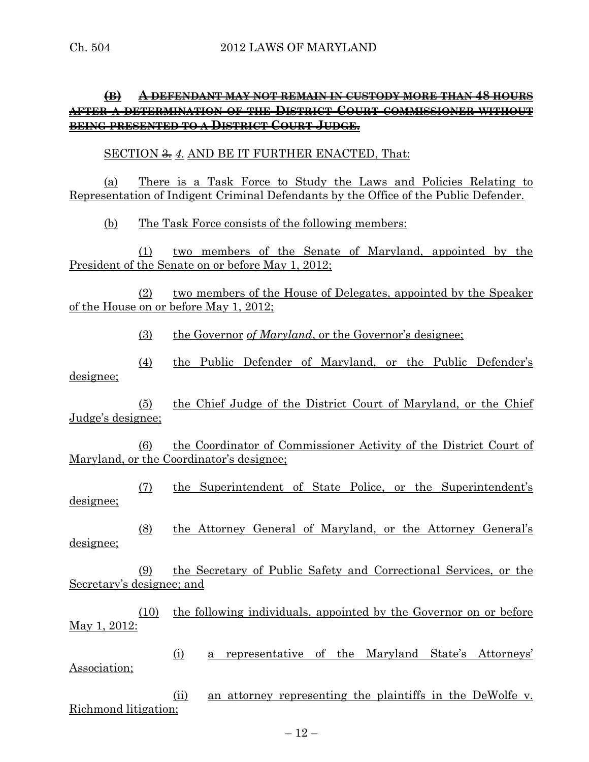# **(B) A DEFENDANT MAY NOT REMAIN IN CUSTODY MORE THAN 48 HOURS AFTER A DETERMINATION OF THE DISTRICT COURT COMMISSIONER WITHOUT BEING PRESENTED TO A DISTRICT COURT JUDGE.**

#### SECTION  $\frac{2}{\sqrt{3}}$  4. AND BE IT FURTHER ENACTED, That:

(a) There is a Task Force to Study the Laws and Policies Relating to Representation of Indigent Criminal Defendants by the Office of the Public Defender.

(b) The Task Force consists of the following members:

(1) two members of the Senate of Maryland, appointed by the President of the Senate on or before May 1, 2012;

(2) two members of the House of Delegates, appointed by the Speaker of the House on or before May 1, 2012;

(3) the Governor *of Maryland*, or the Governor's designee;

(4) the Public Defender of Maryland, or the Public Defender's designee;

(5) the Chief Judge of the District Court of Maryland, or the Chief Judge's designee;

(6) the Coordinator of Commissioner Activity of the District Court of Maryland, or the Coordinator's designee;

(7) the Superintendent of State Police, or the Superintendent's designee;

(8) the Attorney General of Maryland, or the Attorney General's designee;

(9) the Secretary of Public Safety and Correctional Services, or the Secretary's designee; and

(10) the following individuals, appointed by the Governor on or before May 1, 2012:

(i) a representative of the Maryland State's Attorneys' Association;

(ii) an attorney representing the plaintiffs in the DeWolfe v. Richmond litigation;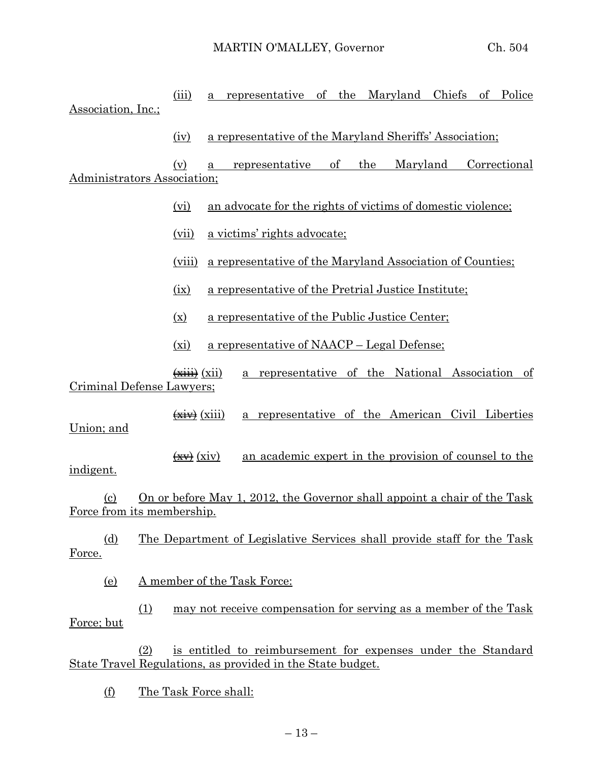(iii) a representative of the Maryland Chiefs of Police Association, Inc.; (iv) a representative of the Maryland Sheriffs' Association; (v) a representative of the Maryland Correctional Administrators Association; (vi) an advocate for the rights of victims of domestic violence; (vii) a victims' rights advocate; (viii) a representative of the Maryland Association of Counties; (ix) a representative of the Pretrial Justice Institute; (x) a representative of the Public Justice Center; (xi) a representative of NAACP – Legal Defense;  $\overrightarrow{f(x)}$  (xii) a representative of the National Association of Criminal Defense Lawyers;  $\overrightarrow{xx}$  (xiii) a representative of the American Civil Liberties Union; and  $\left(\frac{xy}{xy}\right)$  (xiv) an academic expert in the provision of counsel to the indigent. (c) On or before May 1, 2012, the Governor shall appoint a chair of the Task Force from its membership. (d) The Department of Legislative Services shall provide staff for the Task Force. (e) A member of the Task Force: (1) may not receive compensation for serving as a member of the Task Force; but (2) is entitled to reimbursement for expenses under the Standard State Travel Regulations, as provided in the State budget.

(f) The Task Force shall: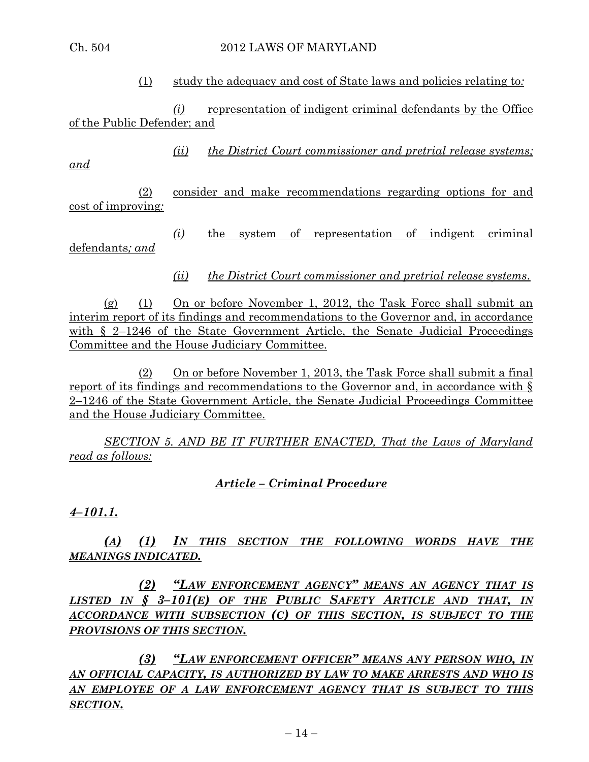#### Ch. 504 2012 LAWS OF MARYLAND

(1) study the adequacy and cost of State laws and policies relating to*:*

*(i)* representation of indigent criminal defendants by the Office of the Public Defender; and

*(ii) the District Court commissioner and pretrial release systems;* 

*and*

(2) consider and make recommendations regarding options for and cost of improving*:*

*(i)* the system of representation of indigent criminal defendants*; and*

*(ii) the District Court commissioner and pretrial release systems*.

(g) (1) On or before November 1, 2012, the Task Force shall submit an interim report of its findings and recommendations to the Governor and, in accordance with § 2–1246 of the State Government Article, the Senate Judicial Proceedings Committee and the House Judiciary Committee.

(2) On or before November 1, 2013, the Task Force shall submit a final report of its findings and recommendations to the Governor and, in accordance with § 2–1246 of the State Government Article, the Senate Judicial Proceedings Committee and the House Judiciary Committee.

*SECTION 5. AND BE IT FURTHER ENACTED, That the Laws of Maryland read as follows:*

*Article – Criminal Procedure*

*4–101.1.*

*(A) (1) IN THIS SECTION THE FOLLOWING WORDS HAVE THE MEANINGS INDICATED.*

*(2) "LAW ENFORCEMENT AGENCY" MEANS AN AGENCY THAT IS LISTED IN § 3–101(E) OF THE PUBLIC SAFETY ARTICLE AND THAT, IN ACCORDANCE WITH SUBSECTION (C) OF THIS SECTION, IS SUBJECT TO THE PROVISIONS OF THIS SECTION.*

*(3) "LAW ENFORCEMENT OFFICER" MEANS ANY PERSON WHO, IN AN OFFICIAL CAPACITY, IS AUTHORIZED BY LAW TO MAKE ARRESTS AND WHO IS AN EMPLOYEE OF A LAW ENFORCEMENT AGENCY THAT IS SUBJECT TO THIS SECTION.*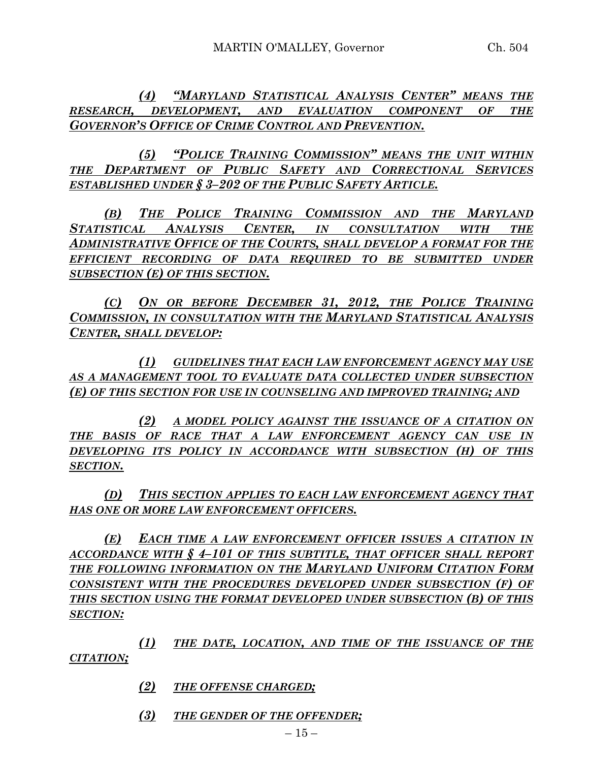*(4) "MARYLAND STATISTICAL ANALYSIS CENTER" MEANS THE RESEARCH, DEVELOPMENT, AND EVALUATION COMPONENT OF THE GOVERNOR'S OFFICE OF CRIME CONTROL AND PREVENTION.*

*(5) "POLICE TRAINING COMMISSION" MEANS THE UNIT WITHIN THE DEPARTMENT OF PUBLIC SAFETY AND CORRECTIONAL SERVICES ESTABLISHED UNDER § 3–202 OF THE PUBLIC SAFETY ARTICLE.*

*(B) THE POLICE TRAINING COMMISSION AND THE MARYLAND STATISTICAL ANALYSIS CENTER, IN CONSULTATION WITH THE ADMINISTRATIVE OFFICE OF THE COURTS, SHALL DEVELOP A FORMAT FOR THE EFFICIENT RECORDING OF DATA REQUIRED TO BE SUBMITTED UNDER SUBSECTION (E) OF THIS SECTION.*

*(C) ON OR BEFORE DECEMBER 31, 2012, THE POLICE TRAINING COMMISSION, IN CONSULTATION WITH THE MARYLAND STATISTICAL ANALYSIS CENTER, SHALL DEVELOP:*

*(1) GUIDELINES THAT EACH LAW ENFORCEMENT AGENCY MAY USE AS A MANAGEMENT TOOL TO EVALUATE DATA COLLECTED UNDER SUBSECTION (E) OF THIS SECTION FOR USE IN COUNSELING AND IMPROVED TRAINING; AND*

*(2) A MODEL POLICY AGAINST THE ISSUANCE OF A CITATION ON THE BASIS OF RACE THAT A LAW ENFORCEMENT AGENCY CAN USE IN DEVELOPING ITS POLICY IN ACCORDANCE WITH SUBSECTION (H) OF THIS SECTION.*

*(D) THIS SECTION APPLIES TO EACH LAW ENFORCEMENT AGENCY THAT HAS ONE OR MORE LAW ENFORCEMENT OFFICERS.*

*(E) EACH TIME A LAW ENFORCEMENT OFFICER ISSUES A CITATION IN ACCORDANCE WITH § 4–101 OF THIS SUBTITLE, THAT OFFICER SHALL REPORT THE FOLLOWING INFORMATION ON THE MARYLAND UNIFORM CITATION FORM CONSISTENT WITH THE PROCEDURES DEVELOPED UNDER SUBSECTION (F) OF THIS SECTION USING THE FORMAT DEVELOPED UNDER SUBSECTION (B) OF THIS SECTION:*

*(1) THE DATE, LOCATION, AND TIME OF THE ISSUANCE OF THE CITATION;*

- *(2) THE OFFENSE CHARGED;*
- *(3) THE GENDER OF THE OFFENDER;*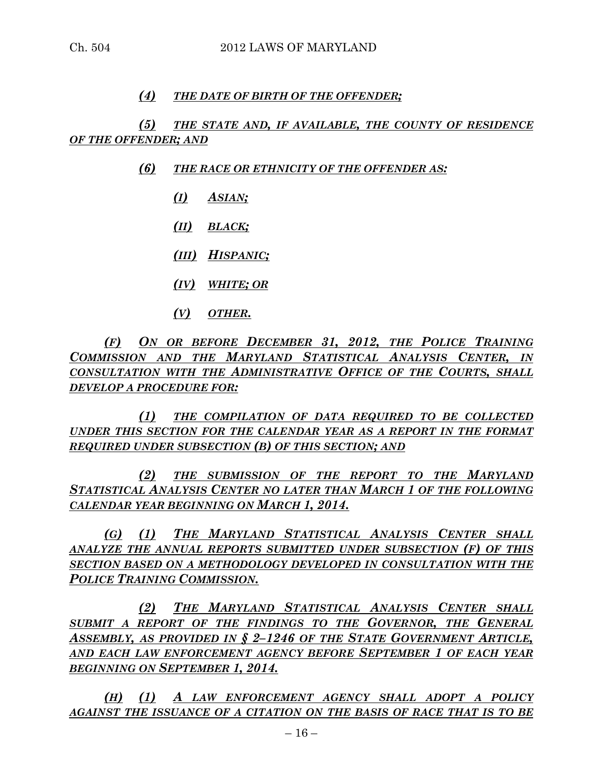## *(4) THE DATE OF BIRTH OF THE OFFENDER;*

*(5) THE STATE AND, IF AVAILABLE, THE COUNTY OF RESIDENCE OF THE OFFENDER; AND*

- *(6) THE RACE OR ETHNICITY OF THE OFFENDER AS:*
	- *(I) ASIAN;*
	- *(II) BLACK;*
	- *(III) HISPANIC;*
	- *(IV) WHITE; OR*
	- *(V) OTHER.*

*(F) ON OR BEFORE DECEMBER 31, 2012, THE POLICE TRAINING COMMISSION AND THE MARYLAND STATISTICAL ANALYSIS CENTER, IN CONSULTATION WITH THE ADMINISTRATIVE OFFICE OF THE COURTS, SHALL DEVELOP A PROCEDURE FOR:*

*(1) THE COMPILATION OF DATA REQUIRED TO BE COLLECTED UNDER THIS SECTION FOR THE CALENDAR YEAR AS A REPORT IN THE FORMAT REQUIRED UNDER SUBSECTION (B) OF THIS SECTION; AND*

*(2) THE SUBMISSION OF THE REPORT TO THE MARYLAND STATISTICAL ANALYSIS CENTER NO LATER THAN MARCH 1 OF THE FOLLOWING CALENDAR YEAR BEGINNING ON MARCH 1, 2014.*

*(G) (1) THE MARYLAND STATISTICAL ANALYSIS CENTER SHALL ANALYZE THE ANNUAL REPORTS SUBMITTED UNDER SUBSECTION (F) OF THIS SECTION BASED ON A METHODOLOGY DEVELOPED IN CONSULTATION WITH THE POLICE TRAINING COMMISSION.*

*(2) THE MARYLAND STATISTICAL ANALYSIS CENTER SHALL SUBMIT A REPORT OF THE FINDINGS TO THE GOVERNOR, THE GENERAL ASSEMBLY, AS PROVIDED IN § 2–1246 OF THE STATE GOVERNMENT ARTICLE, AND EACH LAW ENFORCEMENT AGENCY BEFORE SEPTEMBER 1 OF EACH YEAR BEGINNING ON SEPTEMBER 1, 2014.*

*(H) (1) A LAW ENFORCEMENT AGENCY SHALL ADOPT A POLICY AGAINST THE ISSUANCE OF A CITATION ON THE BASIS OF RACE THAT IS TO BE*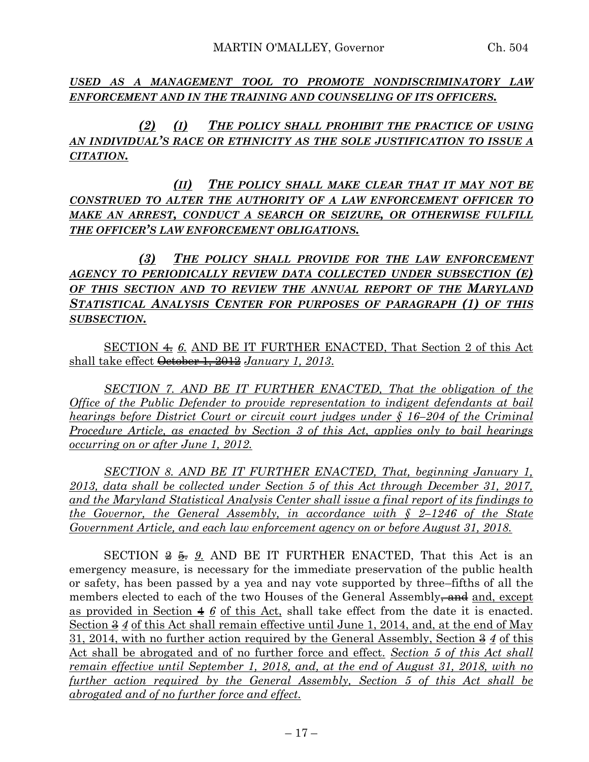*USED AS A MANAGEMENT TOOL TO PROMOTE NONDISCRIMINATORY LAW ENFORCEMENT AND IN THE TRAINING AND COUNSELING OF ITS OFFICERS.*

*(2) (I) THE POLICY SHALL PROHIBIT THE PRACTICE OF USING AN INDIVIDUAL'S RACE OR ETHNICITY AS THE SOLE JUSTIFICATION TO ISSUE A CITATION.*

*(II) THE POLICY SHALL MAKE CLEAR THAT IT MAY NOT BE CONSTRUED TO ALTER THE AUTHORITY OF A LAW ENFORCEMENT OFFICER TO MAKE AN ARREST, CONDUCT A SEARCH OR SEIZURE, OR OTHERWISE FULFILL THE OFFICER'S LAW ENFORCEMENT OBLIGATIONS.*

*(3) THE POLICY SHALL PROVIDE FOR THE LAW ENFORCEMENT AGENCY TO PERIODICALLY REVIEW DATA COLLECTED UNDER SUBSECTION (E) OF THIS SECTION AND TO REVIEW THE ANNUAL REPORT OF THE MARYLAND STATISTICAL ANALYSIS CENTER FOR PURPOSES OF PARAGRAPH (1) OF THIS SUBSECTION.*

SECTION 4. *6.* AND BE IT FURTHER ENACTED, That Section 2 of this Act shall take effect October 1, 2012 *January 1, 2013*.

*SECTION 7. AND BE IT FURTHER ENACTED, That the obligation of the Office of the Public Defender to provide representation to indigent defendants at bail hearings before District Court or circuit court judges under § 16–204 of the Criminal Procedure Article, as enacted by Section 3 of this Act, applies only to bail hearings occurring on or after June 1, 2012.*

*SECTION 8. AND BE IT FURTHER ENACTED, That, beginning January 1, 2013, data shall be collected under Section 5 of this Act through December 31, 2017, and the Maryland Statistical Analysis Center shall issue a final report of its findings to the Governor, the General Assembly, in accordance with § 2–1246 of the State Government Article, and each law enforcement agency on or before August 31, 2018.* 

SECTION  $\frac{2}{5}$ ,  $\frac{6}{5}$ , AND BE IT FURTHER ENACTED, That this Act is an emergency measure, is necessary for the immediate preservation of the public health or safety, has been passed by a yea and nay vote supported by three–fifths of all the members elected to each of the two Houses of the General Assembly<del>, and</del> and, except as provided in Section 4 *6* of this Act, shall take effect from the date it is enacted. Section  $3/4$  of this Act shall remain effective until June 1, 2014, and, at the end of May 31, 2014, with no further action required by the General Assembly, Section 3 *4* of this Act shall be abrogated and of no further force and effect. *Section 5 of this Act shall remain effective until September 1, 2018, and, at the end of August 31, 2018, with no further action required by the General Assembly, Section 5 of this Act shall be abrogated and of no further force and effect.*